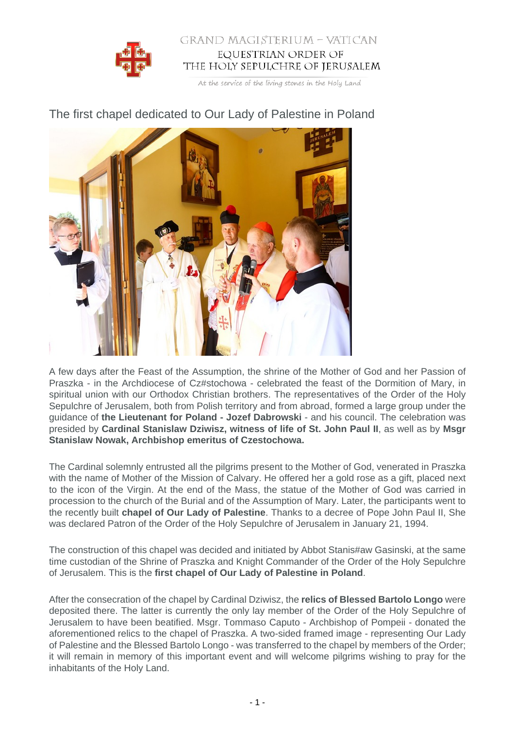

## GRAND MAGISTERIUM - VATICAN EQUESTRIAN ORDER OF THE HOLY SEPULCHRE OF JERUSALEM

At the service of the living stones in the Holy Land



The first chapel dedicated to Our Lady of Palestine in Poland

A few days after the Feast of the Assumption, the shrine of the Mother of God and her Passion of Praszka - in the Archdiocese of Cz#stochowa - celebrated the feast of the Dormition of Mary, in spiritual union with our Orthodox Christian brothers. The representatives of the Order of the Holy Sepulchre of Jerusalem, both from Polish territory and from abroad, formed a large group under the guidance of **the Lieutenant for Poland - Jozef Dabrowski** - and his council. The celebration was presided by **Cardinal Stanislaw Dziwisz, witness of life of St. John Paul II**, as well as by **Msgr Stanislaw Nowak, Archbishop emeritus of Czestochowa.**

The Cardinal solemnly entrusted all the pilgrims present to the Mother of God, venerated in Praszka with the name of Mother of the Mission of Calvary. He offered her a gold rose as a gift, placed next to the icon of the Virgin. At the end of the Mass, the statue of the Mother of God was carried in procession to the church of the Burial and of the Assumption of Mary. Later, the participants went to the recently built **chapel of Our Lady of Palestine**. Thanks to a decree of Pope John Paul II, She was declared Patron of the Order of the Holy Sepulchre of Jerusalem in January 21, 1994.

The construction of this chapel was decided and initiated by Abbot Stanis#aw Gasinski, at the same time custodian of the Shrine of Praszka and Knight Commander of the Order of the Holy Sepulchre of Jerusalem. This is the **first chapel of Our Lady of Palestine in Poland**.

After the consecration of the chapel by Cardinal Dziwisz, the **relics of Blessed Bartolo Longo** were deposited there. The latter is currently the only lay member of the Order of the Holy Sepulchre of Jerusalem to have been beatified. Msgr. Tommaso Caputo - Archbishop of Pompeii - donated the aforementioned relics to the chapel of Praszka. A two-sided framed image - representing Our Lady of Palestine and the Blessed Bartolo Longo - was transferred to the chapel by members of the Order; it will remain in memory of this important event and will welcome pilgrims wishing to pray for the inhabitants of the Holy Land.